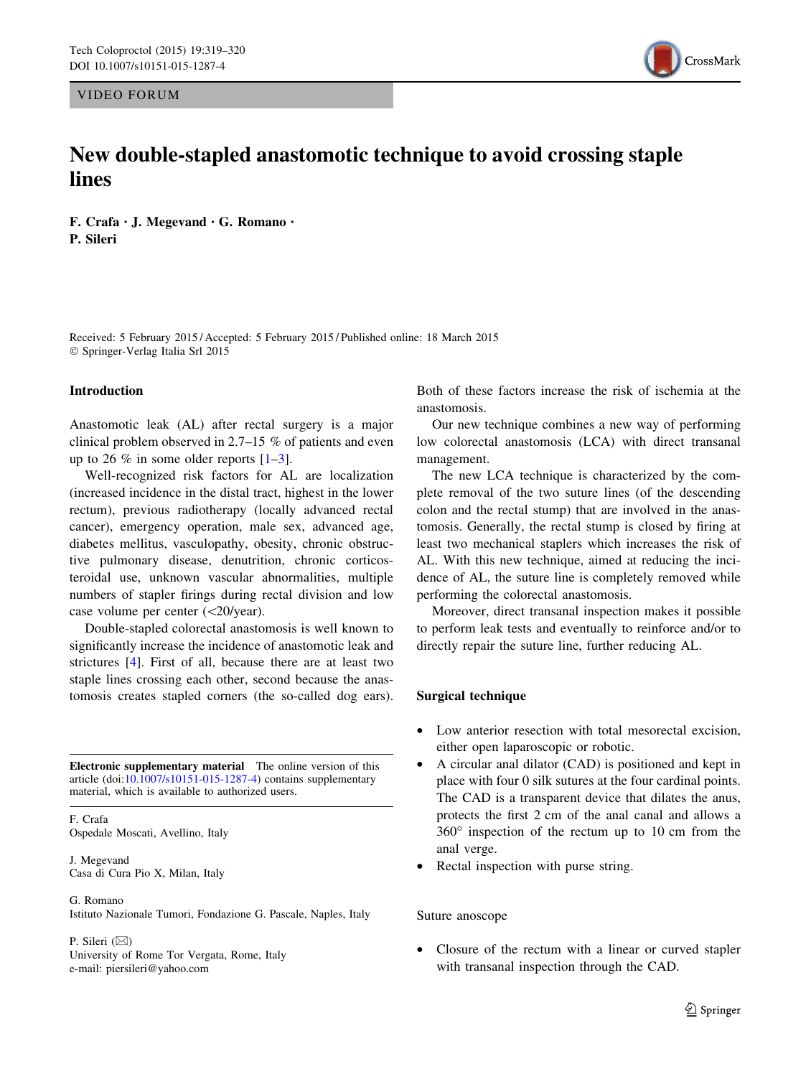VIDEO FORUM

# CrossMark

## New double-stapled anastomotic technique to avoid crossing staple lines

F. Crafa • J. Megevand • G. Romano • P. Sileri

Received: 5 February 2015 / Accepted: 5 February 2015 / Published online: 18 March 2015 - Springer-Verlag Italia Srl 2015

#### Introduction

Anastomotic leak (AL) after rectal surgery is a major clinical problem observed in 2.7–15 % of patients and even up to 26 % in some older reports  $[1-3]$ .

Well-recognized risk factors for AL are localization (increased incidence in the distal tract, highest in the lower rectum), previous radiotherapy (locally advanced rectal cancer), emergency operation, male sex, advanced age, diabetes mellitus, vasculopathy, obesity, chronic obstructive pulmonary disease, denutrition, chronic corticosteroidal use, unknown vascular abnormalities, multiple numbers of stapler firings during rectal division and low case volume per center  $\left\langle \frac{20}{\text{year}} \right\rangle$ .

Double-stapled colorectal anastomosis is well known to significantly increase the incidence of anastomotic leak and strictures [\[4](#page-1-0)]. First of all, because there are at least two staple lines crossing each other, second because the anastomosis creates stapled corners (the so-called dog ears).

Electronic supplementary material The online version of this article (doi:[10.1007/s10151-015-1287-4\)](http://dx.doi.org/10.1007/s10151-015-1287-4) contains supplementary material, which is available to authorized users.

F. Crafa Ospedale Moscati, Avellino, Italy

J. Megevand Casa di Cura Pio X, Milan, Italy

#### G. Romano

Istituto Nazionale Tumori, Fondazione G. Pascale, Naples, Italy

P. Sileri  $(\boxtimes)$ University of Rome Tor Vergata, Rome, Italy e-mail: piersileri@yahoo.com

Both of these factors increase the risk of ischemia at the anastomosis.

Our new technique combines a new way of performing low colorectal anastomosis (LCA) with direct transanal management.

The new LCA technique is characterized by the complete removal of the two suture lines (of the descending colon and the rectal stump) that are involved in the anastomosis. Generally, the rectal stump is closed by firing at least two mechanical staplers which increases the risk of AL. With this new technique, aimed at reducing the incidence of AL, the suture line is completely removed while performing the colorectal anastomosis.

Moreover, direct transanal inspection makes it possible to perform leak tests and eventually to reinforce and/or to directly repair the suture line, further reducing AL.

#### Surgical technique

- Low anterior resection with total mesorectal excision, either open laparoscopic or robotic.
- A circular anal dilator (CAD) is positioned and kept in place with four 0 silk sutures at the four cardinal points. The CAD is a transparent device that dilates the anus, protects the first 2 cm of the anal canal and allows a  $360^\circ$  inspection of the rectum up to 10 cm from the anal verge.
- Rectal inspection with purse string.

#### Suture anoscope

Closure of the rectum with a linear or curved stapler with transanal inspection through the CAD.